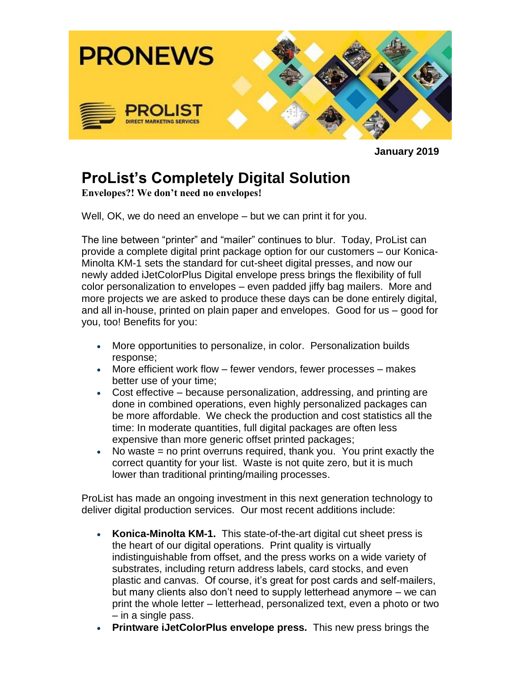

**January 2019**

## **ProList's Completely Digital Solution**

**Envelopes?! We don't need no envelopes!**

Well, OK, we do need an envelope – but we can print it for you.

The line between "printer" and "mailer" continues to blur. Today, ProList can provide a complete digital print package option for our customers – our Konica-Minolta KM-1 sets the standard for cut-sheet digital presses, and now our newly added iJetColorPlus Digital envelope press brings the flexibility of full color personalization to envelopes – even padded jiffy bag mailers. More and more projects we are asked to produce these days can be done entirely digital, and all in-house, printed on plain paper and envelopes. Good for us – good for you, too! Benefits for you:

- More opportunities to personalize, in color. Personalization builds response;
- More efficient work flow fewer vendors, fewer processes makes better use of your time;
- Cost effective because personalization, addressing, and printing are done in combined operations, even highly personalized packages can be more affordable. We check the production and cost statistics all the time: In moderate quantities, full digital packages are often less expensive than more generic offset printed packages;
- No waste = no print overruns required, thank you. You print exactly the correct quantity for your list. Waste is not quite zero, but it is much lower than traditional printing/mailing processes.

ProList has made an ongoing investment in this next generation technology to deliver digital production services. Our most recent additions include:

- **Konica-Minolta KM-1.** This state-of-the-art digital cut sheet press is the heart of our digital operations. Print quality is virtually indistinguishable from offset, and the press works on a wide variety of substrates, including return address labels, card stocks, and even plastic and canvas. Of course, it's great for post cards and self-mailers, but many clients also don't need to supply letterhead anymore – we can print the whole letter – letterhead, personalized text, even a photo or two – in a single pass.
- **Printware iJetColorPlus envelope press.** This new press brings the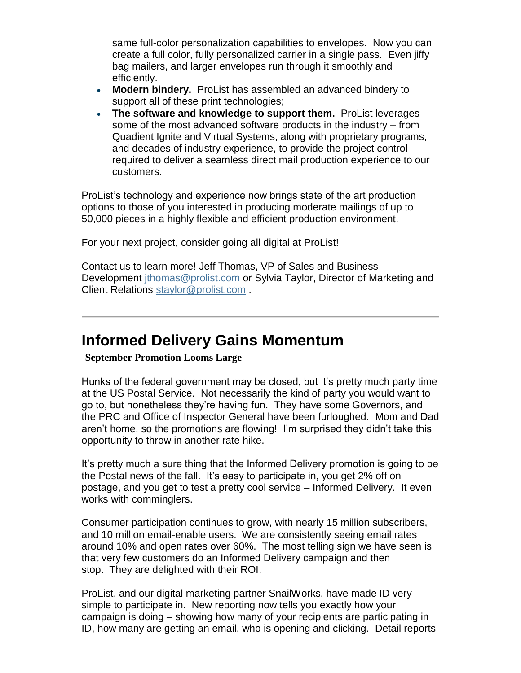same full-color personalization capabilities to envelopes. Now you can create a full color, fully personalized carrier in a single pass. Even jiffy bag mailers, and larger envelopes run through it smoothly and efficiently.

- **Modern bindery.** ProList has assembled an advanced bindery to support all of these print technologies;
- **The software and knowledge to support them.** ProList leverages some of the most advanced software products in the industry – from Quadient Ignite and Virtual Systems, along with proprietary programs, and decades of industry experience, to provide the project control required to deliver a seamless direct mail production experience to our customers.

ProList's technology and experience now brings state of the art production options to those of you interested in producing moderate mailings of up to 50,000 pieces in a highly flexible and efficient production environment.

For your next project, consider going all digital at ProList!

Contact us to learn more! Jeff Thomas, VP of Sales and Business Development *ithomas@prolist.com* or Sylvia Taylor, Director of Marketing and Client Relations [staylor@prolist.com](mailto:staylor@prolist.com).

## **Informed Delivery Gains Momentum**

**September Promotion Looms Large**

Hunks of the federal government may be closed, but it's pretty much party time at the US Postal Service. Not necessarily the kind of party you would want to go to, but nonetheless they're having fun. They have some Governors, and the PRC and Office of Inspector General have been furloughed. Mom and Dad aren't home, so the promotions are flowing! I'm surprised they didn't take this opportunity to throw in another rate hike.

It's pretty much a sure thing that the Informed Delivery promotion is going to be the Postal news of the fall. It's easy to participate in, you get 2% off on postage, and you get to test a pretty cool service – Informed Delivery. It even works with comminglers.

Consumer participation continues to grow, with nearly 15 million subscribers, and 10 million email-enable users. We are consistently seeing email rates around 10% and open rates over 60%. The most telling sign we have seen is that very few customers do an Informed Delivery campaign and then stop. They are delighted with their ROI.

ProList, and our digital marketing partner SnailWorks, have made ID very simple to participate in. New reporting now tells you exactly how your campaign is doing – showing how many of your recipients are participating in ID, how many are getting an email, who is opening and clicking. Detail reports